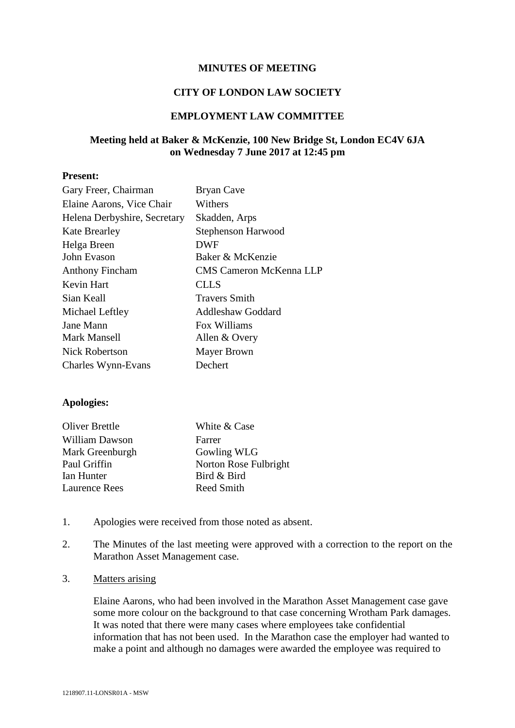### **MINUTES OF MEETING**

### **CITY OF LONDON LAW SOCIETY**

## **EMPLOYMENT LAW COMMITTEE**

# **Meeting held at Baker & McKenzie, 100 New Bridge St, London EC4V 6JA on Wednesday 7 June 2017 at 12:45 pm**

## **Present:**

| Gary Freer, Chairman         | <b>Bryan Cave</b>              |
|------------------------------|--------------------------------|
| Elaine Aarons, Vice Chair    | Withers                        |
| Helena Derbyshire, Secretary | Skadden, Arps                  |
| <b>Kate Brearley</b>         | Stephenson Harwood             |
| Helga Breen                  | <b>DWF</b>                     |
| John Evason                  | Baker & McKenzie               |
| <b>Anthony Fincham</b>       | <b>CMS Cameron McKenna LLP</b> |
| Kevin Hart                   | <b>CLLS</b>                    |
| Sian Keall                   | <b>Travers Smith</b>           |
| Michael Leftley              | <b>Addleshaw Goddard</b>       |
| Jane Mann                    | Fox Williams                   |
| Mark Mansell                 | Allen & Overy                  |
| Nick Robertson               | <b>Mayer Brown</b>             |
| Charles Wynn-Evans           | Dechert                        |

# **Apologies:**

| <b>Oliver Brettle</b> | White & Case          |
|-----------------------|-----------------------|
| William Dawson        | Farrer                |
| Mark Greenburgh       | Gowling WLG           |
| Paul Griffin          | Norton Rose Fulbright |
| Ian Hunter            | Bird & Bird           |
| <b>Laurence Rees</b>  | Reed Smith            |

- 1. Apologies were received from those noted as absent.
- 2. The Minutes of the last meeting were approved with a correction to the report on the Marathon Asset Management case.

## 3. Matters arising

Elaine Aarons, who had been involved in the Marathon Asset Management case gave some more colour on the background to that case concerning Wrotham Park damages. It was noted that there were many cases where employees take confidential information that has not been used. In the Marathon case the employer had wanted to make a point and although no damages were awarded the employee was required to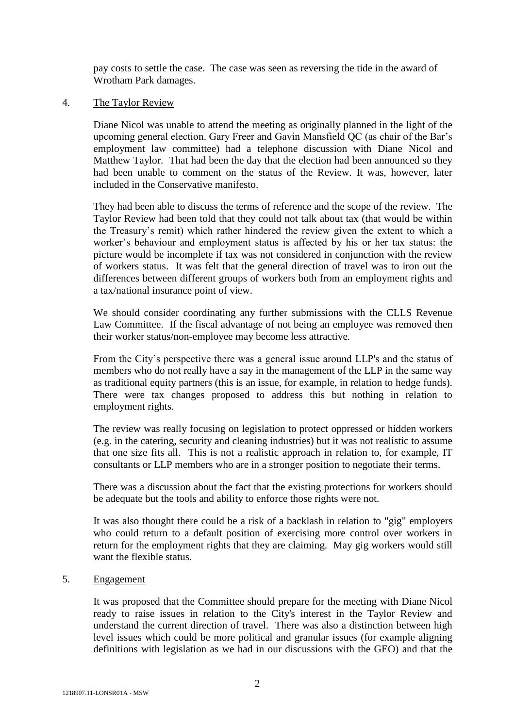pay costs to settle the case. The case was seen as reversing the tide in the award of Wrotham Park damages.

### 4. The Taylor Review

Diane Nicol was unable to attend the meeting as originally planned in the light of the upcoming general election. Gary Freer and Gavin Mansfield QC (as chair of the Bar's employment law committee) had a telephone discussion with Diane Nicol and Matthew Taylor. That had been the day that the election had been announced so they had been unable to comment on the status of the Review. It was, however, later included in the Conservative manifesto.

They had been able to discuss the terms of reference and the scope of the review. The Taylor Review had been told that they could not talk about tax (that would be within the Treasury's remit) which rather hindered the review given the extent to which a worker's behaviour and employment status is affected by his or her tax status: the picture would be incomplete if tax was not considered in conjunction with the review of workers status. It was felt that the general direction of travel was to iron out the differences between different groups of workers both from an employment rights and a tax/national insurance point of view.

We should consider coordinating any further submissions with the CLLS Revenue Law Committee. If the fiscal advantage of not being an employee was removed then their worker status/non-employee may become less attractive.

From the City's perspective there was a general issue around LLP's and the status of members who do not really have a say in the management of the LLP in the same way as traditional equity partners (this is an issue, for example, in relation to hedge funds). There were tax changes proposed to address this but nothing in relation to employment rights.

The review was really focusing on legislation to protect oppressed or hidden workers (e.g. in the catering, security and cleaning industries) but it was not realistic to assume that one size fits all. This is not a realistic approach in relation to, for example, IT consultants or LLP members who are in a stronger position to negotiate their terms.

There was a discussion about the fact that the existing protections for workers should be adequate but the tools and ability to enforce those rights were not.

It was also thought there could be a risk of a backlash in relation to "gig" employers who could return to a default position of exercising more control over workers in return for the employment rights that they are claiming. May gig workers would still want the flexible status.

## 5. Engagement

It was proposed that the Committee should prepare for the meeting with Diane Nicol ready to raise issues in relation to the City's interest in the Taylor Review and understand the current direction of travel. There was also a distinction between high level issues which could be more political and granular issues (for example aligning definitions with legislation as we had in our discussions with the GEO) and that the